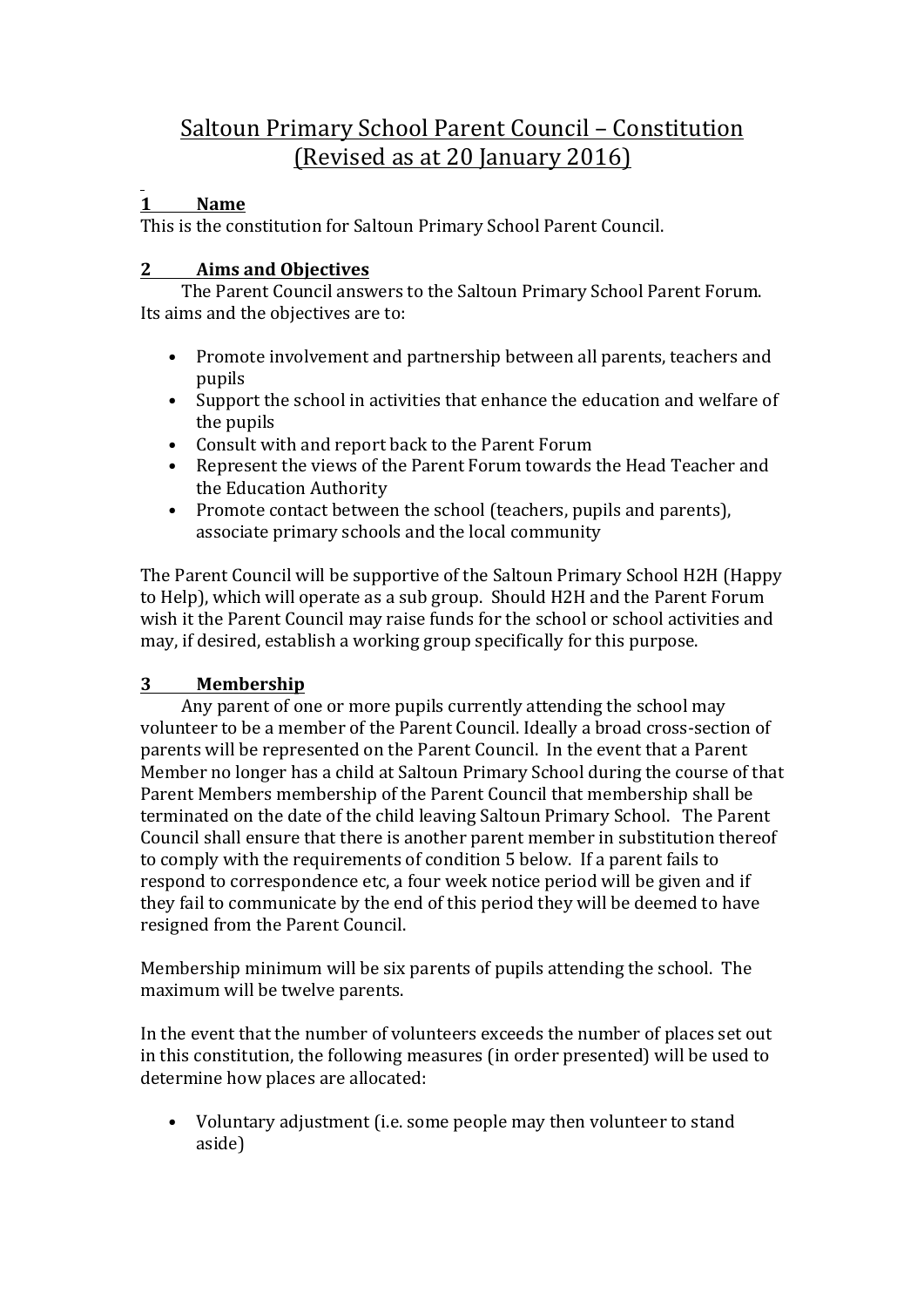# Saltoun Primary School Parent Council – Constitution (Revised as at 20 January 2016)

# **1 Name**

This is the constitution for Saltoun Primary School Parent Council.

# **2 Aims and Objectives**

The Parent Council answers to the Saltoun Primary School Parent Forum. Its aims and the objectives are to:

- Promote involvement and partnership between all parents, teachers and pupils
- Support the school in activities that enhance the education and welfare of the pupils
- Consult with and report back to the Parent Forum
- Represent the views of the Parent Forum towards the Head Teacher and the Education Authority
- Promote contact between the school (teachers, pupils and parents), associate primary schools and the local community

The Parent Council will be supportive of the Saltoun Primary School H2H (Happy to Help), which will operate as a sub group. Should H2H and the Parent Forum wish it the Parent Council may raise funds for the school or school activities and may, if desired, establish a working group specifically for this purpose.

## **3 Membership**

Any parent of one or more pupils currently attending the school may volunteer to be a member of the Parent Council. Ideally a broad cross-section of parents will be represented on the Parent Council. In the event that a Parent Member no longer has a child at Saltoun Primary School during the course of that Parent Members membership of the Parent Council that membership shall be terminated on the date of the child leaving Saltoun Primary School. The Parent Council shall ensure that there is another parent member in substitution thereof to comply with the requirements of condition 5 below. If a parent fails to respond to correspondence etc, a four week notice period will be given and if they fail to communicate by the end of this period they will be deemed to have resigned from the Parent Council.

Membership minimum will be six parents of pupils attending the school. The maximum will be twelve parents.

In the event that the number of volunteers exceeds the number of places set out in this constitution, the following measures (in order presented) will be used to determine how places are allocated:

• Voluntary adjustment (i.e. some people may then volunteer to stand aside)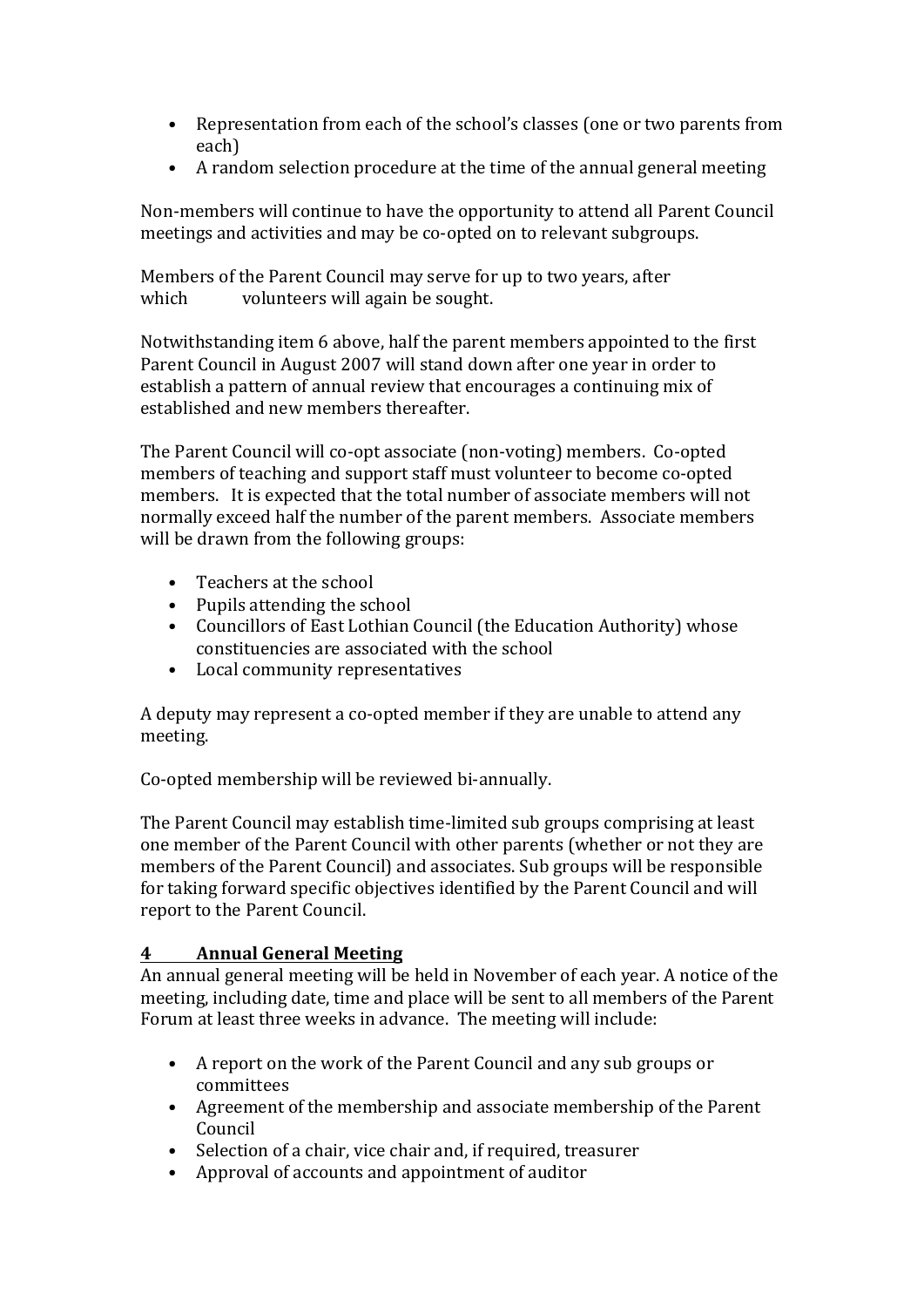- Representation from each of the school's classes (one or two parents from each)
- A random selection procedure at the time of the annual general meeting

Non-members will continue to have the opportunity to attend all Parent Council meetings and activities and may be co-opted on to relevant subgroups.

Members of the Parent Council may serve for up to two years, after which volunteers will again be sought.

Notwithstanding item 6 above, half the parent members appointed to the first Parent Council in August 2007 will stand down after one year in order to establish a pattern of annual review that encourages a continuing mix of established and new members thereafter.

The Parent Council will co-opt associate (non-voting) members. Co-opted members of teaching and support staff must volunteer to become co-opted members. It is expected that the total number of associate members will not normally exceed half the number of the parent members. Associate members will be drawn from the following groups:

- Teachers at the school
- $\bullet$  Pupils attending the school
- Councillors of East Lothian Council (the Education Authority) whose constituencies are associated with the school
- Local community representatives

A deputy may represent a co-opted member if they are unable to attend any meeting.

Co-opted membership will be reviewed bi-annually.

The Parent Council may establish time-limited sub groups comprising at least one member of the Parent Council with other parents (whether or not they are members of the Parent Council) and associates. Sub groups will be responsible for taking forward specific objectives identified by the Parent Council and will report to the Parent Council.

## **4 Annual General Meeting**

An annual general meeting will be held in November of each year. A notice of the meeting, including date, time and place will be sent to all members of the Parent Forum at least three weeks in advance. The meeting will include:

- A report on the work of the Parent Council and any sub groups or committees
- Agreement of the membership and associate membership of the Parent Council
- Selection of a chair, vice chair and, if required, treasurer
- Approval of accounts and appointment of auditor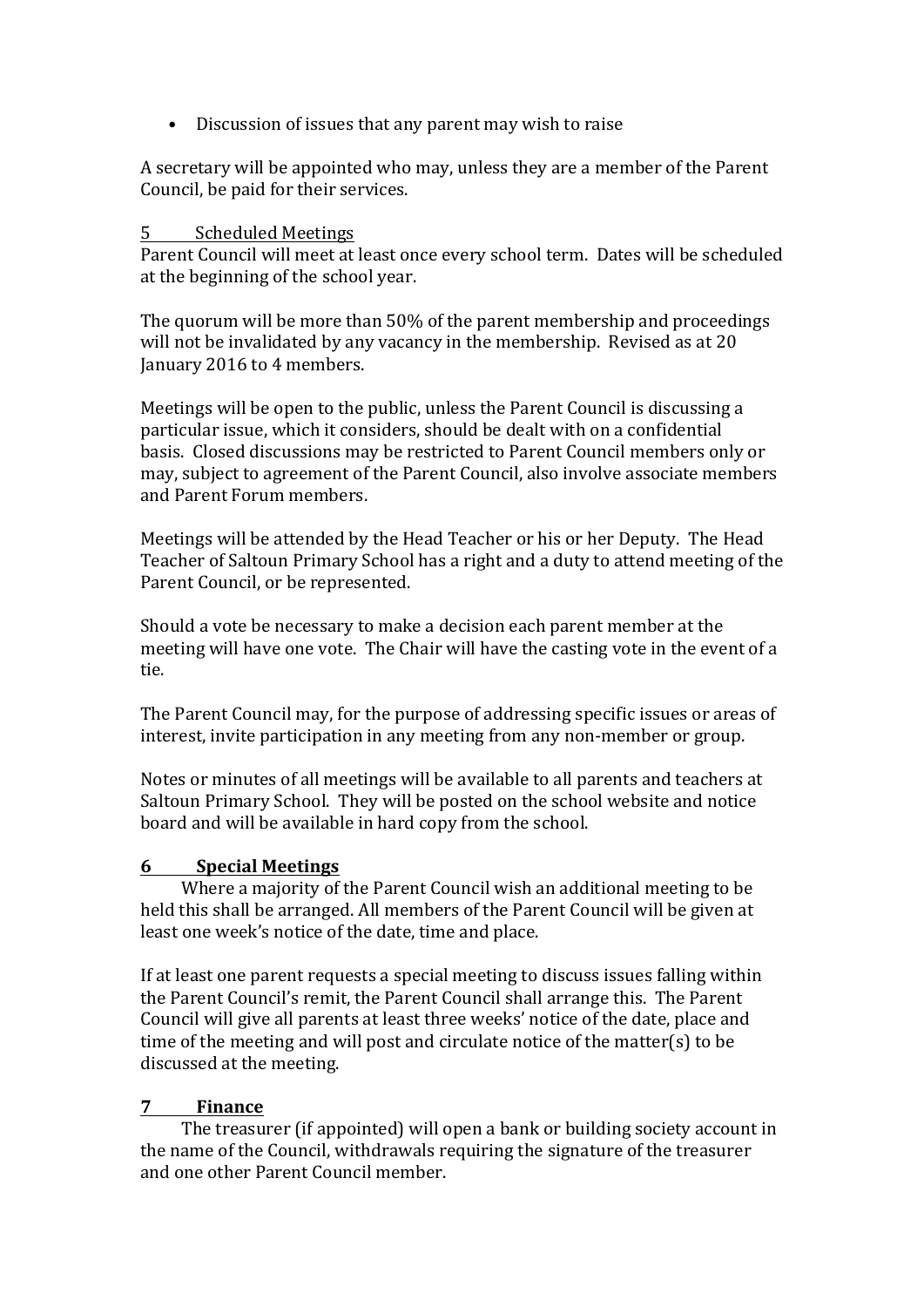• Discussion of issues that any parent may wish to raise

A secretary will be appointed who may, unless they are a member of the Parent Council, be paid for their services.

#### 5 Scheduled Meetings

Parent Council will meet at least once every school term. Dates will be scheduled at the beginning of the school year.

The quorum will be more than 50% of the parent membership and proceedings will not be invalidated by any vacancy in the membership. Revised as at 20 January 2016 to 4 members.

Meetings will be open to the public, unless the Parent Council is discussing a particular issue, which it considers, should be dealt with on a confidential basis. Closed discussions may be restricted to Parent Council members only or may, subject to agreement of the Parent Council, also involve associate members and Parent Forum members.

Meetings will be attended by the Head Teacher or his or her Deputy. The Head Teacher of Saltoun Primary School has a right and a duty to attend meeting of the Parent Council, or be represented.

Should a vote be necessary to make a decision each parent member at the meeting will have one vote. The Chair will have the casting vote in the event of a tie.

The Parent Council may, for the purpose of addressing specific issues or areas of interest, invite participation in any meeting from any non-member or group.

Notes or minutes of all meetings will be available to all parents and teachers at Saltoun Primary School. They will be posted on the school website and notice board and will be available in hard copy from the school.

#### **6 Special Meetings**

Where a majority of the Parent Council wish an additional meeting to be held this shall be arranged. All members of the Parent Council will be given at least one week's notice of the date, time and place.

If at least one parent requests a special meeting to discuss issues falling within the Parent Council's remit, the Parent Council shall arrange this. The Parent Council will give all parents at least three weeks' notice of the date, place and time of the meeting and will post and circulate notice of the matter(s) to be discussed at the meeting.

#### **7 Finance**

The treasurer (if appointed) will open a bank or building society account in the name of the Council, withdrawals requiring the signature of the treasurer and one other Parent Council member.